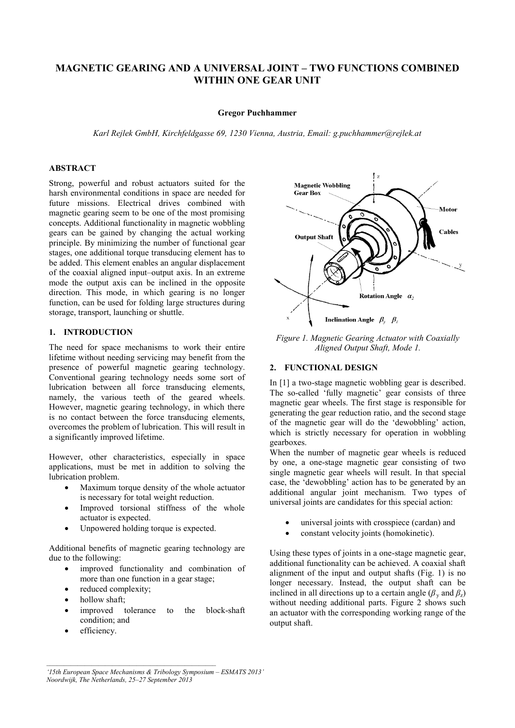# **MAGNETIC GEARING AND A UNIVERSAL JOINT – TWO FUNCTIONS COMBINED WITHIN ONE GEAR UNIT**

#### **Gregor Puchhammer**

*Karl Rejlek GmbH, Kirchfeldgasse 69, 1230 Vienna, Austria, Email: g.puchhammer@rejlek.at* 

## **ABSTRACT**

Strong, powerful and robust actuators suited for the harsh environmental conditions in space are needed for future missions. Electrical drives combined with magnetic gearing seem to be one of the most promising concepts. Additional functionality in magnetic wobbling gears can be gained by changing the actual working principle. By minimizing the number of functional gear stages, one additional torque transducing element has to be added. This element enables an angular displacement of the coaxial aligned input–output axis. In an extreme mode the output axis can be inclined in the opposite direction. This mode, in which gearing is no longer function, can be used for folding large structures during storage, transport, launching or shuttle.

### **1. INTRODUCTION**

The need for space mechanisms to work their entire lifetime without needing servicing may benefit from the presence of powerful magnetic gearing technology. Conventional gearing technology needs some sort of lubrication between all force transducing elements, namely, the various teeth of the geared wheels. However, magnetic gearing technology, in which there is no contact between the force transducing elements, overcomes the problem of lubrication. This will result in a significantly improved lifetime.

However, other characteristics, especially in space applications, must be met in addition to solving the lubrication problem.

- Maximum torque density of the whole actuator is necessary for total weight reduction.
- Improved torsional stiffness of the whole actuator is expected.
- Unpowered holding torque is expected.

Additional benefits of magnetic gearing technology are due to the following:

- improved functionality and combination of more than one function in a gear stage;
- reduced complexity;
- hollow shaft;
- improved tolerance to the block-shaft condition; and
- efficiency.



*Figure 1. Magnetic Gearing Actuator with Coaxially Aligned Output Shaft, Mode 1.* 

#### **2. FUNCTIONAL DESIGN**

In [1] a two-stage magnetic wobbling gear is described. The so-called 'fully magnetic' gear consists of three magnetic gear wheels. The first stage is responsible for generating the gear reduction ratio, and the second stage of the magnetic gear will do the 'dewobbling' action, which is strictly necessary for operation in wobbling gearboxes.

When the number of magnetic gear wheels is reduced by one, a one-stage magnetic gear consisting of two single magnetic gear wheels will result. In that special case, the 'dewobbling' action has to be generated by an additional angular joint mechanism. Two types of universal joints are candidates for this special action:

- universal joints with crosspiece (cardan) and
- constant velocity joints (homokinetic).

Using these types of joints in a one-stage magnetic gear, additional functionality can be achieved. A coaxial shaft alignment of the input and output shafts (Fig. 1) is no longer necessary. Instead, the output shaft can be inclined in all directions up to a certain angle ( $\beta$ <sub>y</sub> and  $\beta$ <sub>z</sub>) without needing additional parts. Figure 2 shows such an actuator with the corresponding working range of the output shaft.

*<sup>&#</sup>x27;15th European Space Mechanisms & Tribology Symposium – ESMATS 2013' Noordwijk, The Netherlands, 25–27 September 2013*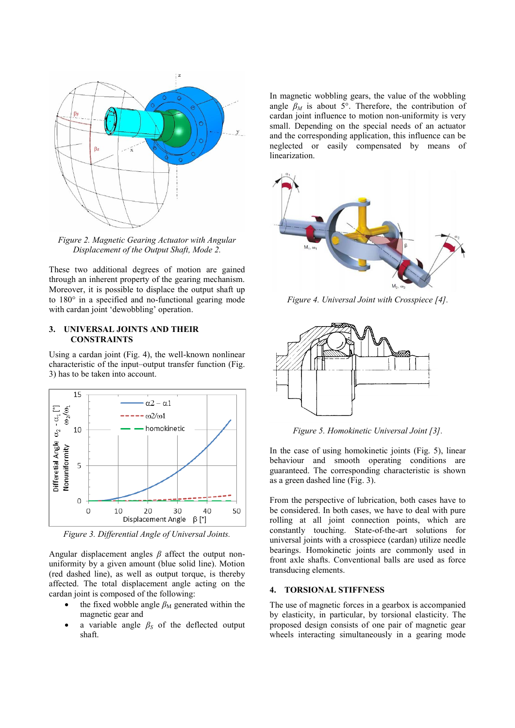

*Figure 2. Magnetic Gearing Actuator with Angular Displacement of the Output Shaft, Mode 2.* 

These two additional degrees of motion are gained through an inherent property of the gearing mechanism. Moreover, it is possible to displace the output shaft up to 180° in a specified and no-functional gearing mode with cardan joint 'dewobbling' operation.

#### **3. UNIVERSAL JOINTS AND THEIR CONSTRAINTS**

Using a cardan joint (Fig. 4), the well-known nonlinear characteristic of the input–output transfer function (Fig. 3) has to be taken into account.



*Figure 3. Differential Angle of Universal Joints.* 

Angular displacement angles *β* affect the output nonuniformity by a given amount (blue solid line). Motion (red dashed line), as well as output torque, is thereby affected. The total displacement angle acting on the cardan joint is composed of the following:

- the fixed wobble angle  $\beta_M$  generated within the magnetic gear and
- a variable angle *β<sup>S</sup>* of the deflected output shaft.

In magnetic wobbling gears, the value of the wobbling angle  $\beta_M$  is about 5°. Therefore, the contribution of cardan joint influence to motion non-uniformity is very small. Depending on the special needs of an actuator and the corresponding application, this influence can be neglected or easily compensated by means of linearization.



*Figure 4. Universal Joint with Crosspiece [4].*



*Figure 5. Homokinetic Universal Joint [3].* 

In the case of using homokinetic joints (Fig. 5), linear behaviour and smooth operating conditions are guaranteed. The corresponding characteristic is shown as a green dashed line (Fig. 3).

From the perspective of lubrication, both cases have to be considered. In both cases, we have to deal with pure rolling at all joint connection points, which are constantly touching. State-of-the-art solutions for universal joints with a crosspiece (cardan) utilize needle bearings. Homokinetic joints are commonly used in front axle shafts. Conventional balls are used as force transducing elements.

#### **4. TORSIONAL STIFFNESS**

The use of magnetic forces in a gearbox is accompanied by elasticity, in particular, by torsional elasticity. The proposed design consists of one pair of magnetic gear wheels interacting simultaneously in a gearing mode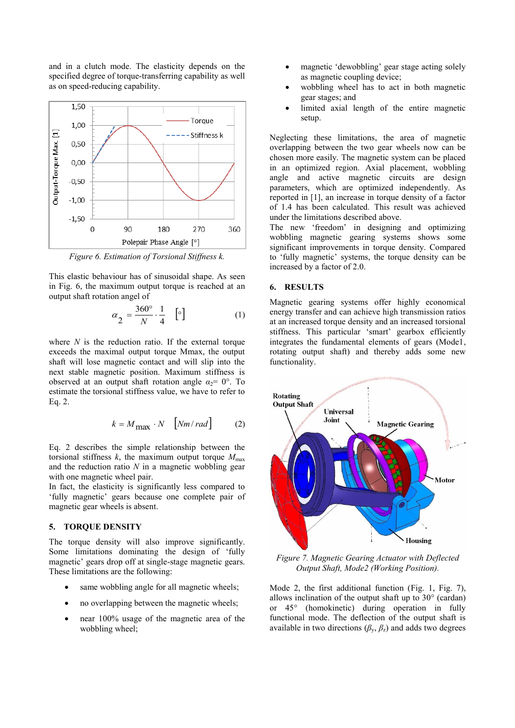and in a clutch mode. The elasticity depends on the specified degree of torque-transferring capability as well as on speed-reducing capability.



*Figure 6. Estimation of Torsional Stiffness k.* 

This elastic behaviour has of sinusoidal shape. As seen in Fig. 6, the maximum output torque is reached at an output shaft rotation angel of

$$
\alpha_{2} = \frac{360^{\circ}}{N} \cdot \frac{1}{4} \quad \left[\circ\right] \tag{1}
$$

where *N* is the reduction ratio. If the external torque exceeds the maximal output torque Mmax, the output shaft will lose magnetic contact and will slip into the next stable magnetic position. Maximum stiffness is observed at an output shaft rotation angle  $\alpha_2 = 0^\circ$ . To estimate the torsional stiffness value, we have to refer to Eq. 2.

$$
k = M_{\text{max}} \cdot N \quad \text{[Nm/rad]} \tag{2}
$$

Eq. 2 describes the simple relationship between the torsional stiffness  $k$ , the maximum output torque  $M_{\text{max}}$ and the reduction ratio *N* in a magnetic wobbling gear with one magnetic wheel pair.

In fact, the elasticity is significantly less compared to 'fully magnetic' gears because one complete pair of magnetic gear wheels is absent.

#### **5. TORQUE DENSITY**

The torque density will also improve significantly. Some limitations dominating the design of 'fully magnetic' gears drop off at single-stage magnetic gears. These limitations are the following:

- same wobbling angle for all magnetic wheels;
- no overlapping between the magnetic wheels;
- near 100% usage of the magnetic area of the wobbling wheel;
- magnetic 'dewobbling' gear stage acting solely as magnetic coupling device;
- wobbling wheel has to act in both magnetic gear stages; and
- limited axial length of the entire magnetic setup.

Neglecting these limitations, the area of magnetic overlapping between the two gear wheels now can be chosen more easily. The magnetic system can be placed in an optimized region. Axial placement, wobbling angle and active magnetic circuits are design parameters, which are optimized independently. As reported in [1], an increase in torque density of a factor of 1.4 has been calculated. This result was achieved under the limitations described above.

The new 'freedom' in designing and optimizing wobbling magnetic gearing systems shows some significant improvements in torque density. Compared to 'fully magnetic' systems, the torque density can be increased by a factor of 2.0.

# **6. RESULTS**

Magnetic gearing systems offer highly economical energy transfer and can achieve high transmission ratios at an increased torque density and an increased torsional stiffness. This particular 'smart' gearbox efficiently integrates the fundamental elements of gears (Mode1, rotating output shaft) and thereby adds some new functionality.



*Figure 7. Magnetic Gearing Actuator with Deflected Output Shaft, Mode2 (Working Position).* 

Mode 2, the first additional function (Fig. 1, Fig. 7), allows inclination of the output shaft up to 30° (cardan) or 45° (homokinetic) during operation in fully functional mode. The deflection of the output shaft is available in two directions  $(\beta_{v}, \beta_{z})$  and adds two degrees